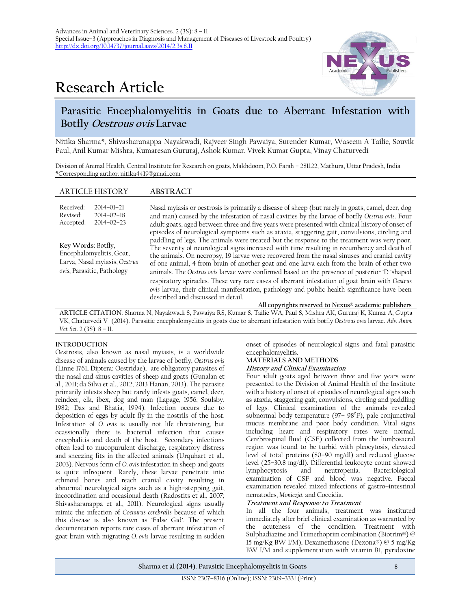# **Research Article**



# **Parasitic Encephalomyelitis in Goats due to Aberrant Infestation with Botfly Oestrous ovis Larvae**

Nitika Sharma\*, Shivasharanappa Nayakwadi, Rajveer Singh Pawaiya, Surender Kumar, Waseem A Tailie, Souvik Paul, Anil Kumar Mishra, Kumaresan Gururaj, Ashok Kumar, Vivek Kumar Gupta, Vinay Chaturvedi

Division of Animal Health, Central Institute for Research on goats, Makhdoom, P.O. Farah – 281122, Mathura, Uttar Pradesh, India \*Corresponding author: nitika4419@gmail.com

| <b>ARTICLE HISTORY</b>                                                                                        | ABSTRACT                                                                                                                                                                                                                                                                                                                                                                                                                                                                                                                                                                                                                                                                                                                                                                                                                                                                                                                                                                                                                                                                                                                                                                                                |
|---------------------------------------------------------------------------------------------------------------|---------------------------------------------------------------------------------------------------------------------------------------------------------------------------------------------------------------------------------------------------------------------------------------------------------------------------------------------------------------------------------------------------------------------------------------------------------------------------------------------------------------------------------------------------------------------------------------------------------------------------------------------------------------------------------------------------------------------------------------------------------------------------------------------------------------------------------------------------------------------------------------------------------------------------------------------------------------------------------------------------------------------------------------------------------------------------------------------------------------------------------------------------------------------------------------------------------|
| Received:<br>$2014 - 01 - 21$<br>Revised:<br>$2014 - 02 - 18$<br>$2014 - 02 - 23$<br>Accepted:                | Nasal myiasis or oestrosis is primarily a disease of sheep (but rarely in goats, camel, deer, dog<br>and man) caused by the infestation of nasal cavities by the larvae of botfly Oestrus ovis. Four<br>adult goats, aged between three and five years were presented with clinical history of onset of<br>episodes of neurological symptoms such as ataxia, staggering gait, convulsions, circling and<br>paddling of legs. The animals were treated but the response to the treatment was very poor.<br>The severity of neurological signs increased with time resulting in recumbency and death of<br>the animals. On necropsy, 19 larvae were recovered from the nasal sinuses and cranial cavity<br>of one animal, 4 from brain of another goat and one larva each from the brain of other two<br>animals. The Oestrus ovis larvae were confirmed based on the presence of posterior 'D 'shaped<br>respiratory spiracles. These very rare cases of aberrant infestation of goat brain with Oestrus<br>ovis larvae, their clinical manifestation, pathology and public health significance have been<br>described and discussed in detail.<br>All copyrights reserved to Nexus® academic publishers |
| Key Words: Botfly,<br>Encephalomyelitis, Goat,<br>Larva, Nasal myiasis, Oestrus<br>ovis, Parasitic, Pathology |                                                                                                                                                                                                                                                                                                                                                                                                                                                                                                                                                                                                                                                                                                                                                                                                                                                                                                                                                                                                                                                                                                                                                                                                         |

**ARTICLE CITATION**: Sharma N, Nayakwadi S, Pawaiya RS, Kumar S, Tailie WA, Paul S, Mishra AK, Gururaj K, Kumar A, Gupta VK, Chaturvedi V (2014). Parasitic encephalomyelitis in goats due to aberrant infestation with botfly *Oestrous ovis* larvae**.** *Adv. Anim. Vet. Sci*. 2 (3S): 8 – 11.

# **INTRODUCTION**

Oestrosis, also known as nasal myiasis, is a worldwide disease of animals caused by the larvae of botfly, *Oestrus ovis* (Linne 1761, Diptera: Oestridae), are obligatory parasites of the nasal and sinus cavities of sheep and goats (Gunalan et al., 2011; da Silva et al., 2012; 2013 Hanan, 2013). The parasite primarily infests sheep but rarely infests goats, camel, deer, reindeer, elk, ibex, dog and man (Lapage, 1956; Soulsby, 1982; Das and Bhatia, 1994). Infection occurs due to deposition of eggs by adult fly in the nostrils of the host. Infestation of *O. ovis* is usually not life threatening, but ocassionally there is bacterial infection that causes encephalitis and death of the host. Secondary infections often lead to mucopurulent discharge, respiratory distress and sneezing fits in the affected animals (Urquhart et al., 2003). Nervous form of *O. ovis* infestation in sheep and goats is quite infrequent. Rarely, these larvae penetrate into ethmoid bones and reach cranial cavity resulting in abnormal neurological signs such as a high–stepping gait, incoordination and occasional death (Radostits et al., 2007; Shivasharanappa et al., 2011). Neurological signs usually mimic the infection of *Coenurus cerebralis* because of which this disease is also known as 'False Gid'. The present documentation reports rare cases of aberrant infestation of goat brain with migrating *O. ovis* larvae resulting in sudden

onset of episodes of neurological signs and fatal parasitic encephalomyelitis.

# **MATERIALS AND METHODS**

# **History and Clinical Examination**

Four adult goats aged between three and five years were presented to the Division of Animal Health of the Institute with a history of onset of episodes of neurological signs such as ataxia, staggering gait, convulsions, circling and paddling of legs. Clinical examination of the animals revealed subnormal body temperature (97-98°F), pale conjunctival mucus membrane and poor body condition. Vital signs including heart and respiratory rates were normal. Cerebrospinal fluid (CSF) collected from the lumbosacral region was found to be turbid with pleocytosis, elevated level of total proteins (80–90 mg/dl) and reduced glucose level (25–30.8 mg/dl). Differential leukocyte count showed lymphocytosis and neutropenia. Bacteriological examination of CSF and blood was negative. Faecal examination revealed mixed infections of gastro–intestinal nematodes, *Moniezia*, and Coccidia.

# **Treatment and Response to Treatment**

In all the four animals, treatment was instituted immediately after brief clinical examination as warranted by the acuteness of the condition. Treatment with Sulphadiazine and Trimethoprim combination (Biotrim®) @ 15 mg/Kg BW I/M), Dexamethasone (Dexona®) @ 5 mg/Kg BW I/M and supplementation with vitamin B1, pyridoxine

**Sharma et al (2014). Parasitic Encephalomyelitis in Goats** 8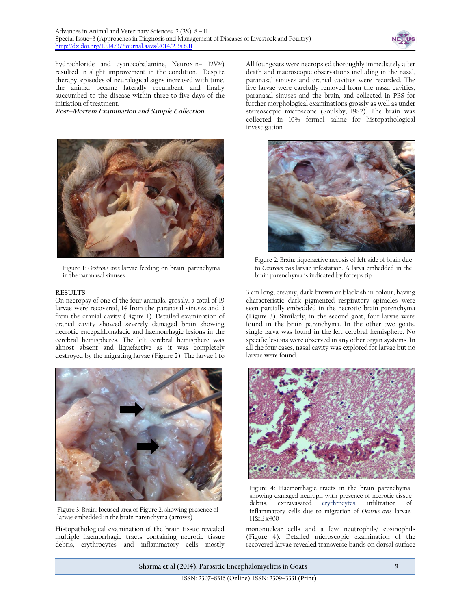

hydrochloride and cyanocobalamine, Neuroxin– 12V®) resulted in slight improvement in the condition. Despite therapy, episodes of neurological signs increased with time, the animal became laterally recumbent and finally succumbed to the disease within three to five days of the initiation of treatment.

**Post–Mortem Examination and Sample Collection**



Figure 1: *Oestrous ovis* larvae feeding on brain–parenchyma in the paranasal sinuses

#### **RESULTS**

On necropsy of one of the four animals, grossly, a total of 19 larvae were recovered, 14 from the paranasal sinuses and 5 from the cranial cavity (Figure 1). Detailed examination of cranial cavity showed severely damaged brain showing necrotic encepahlomalacic and haemorrhagic lesions in the cerebral hemispheres. The left cerebral hemisphere was almost absent and liquefactive as it was completely destroyed by the migrating larvae (Figure 2). The larvae 1 to



Figure 3: Brain: focused area of Figure 2, showing presence of larvae embedded in the brain parenchyma (arrows)

Histopathological examination of the brain tissue revealed multiple haemorrhagic tracts containing necrotic tissue debris, erythrocytes and inflammatory cells mostly

All four goats were necropsied thoroughly immediately after death and macroscopic observations including in the nasal, paranasal sinuses and cranial cavities were recorded. The live larvae were carefully removed from the nasal cavities, paranasal sinuses and the brain, and collected in PBS for further morphological examinations grossly as well as under stereoscopic microscope (Soulsby, 1982). The brain was collected in 10% formol saline for histopathological investigation.



Figure 2: Brain: liquefactive necosis of left side of brain due to *Oestrous ovis* larvae infestation. A larva embedded in the brain parenchyma is indicated by forceps tip

3 cm long, creamy, dark brown or blackish in colour, having characteristic dark pigmented respiratory spiracles were seen partially embedded in the necrotic brain parenchyma (Figure 3). Similarly, in the second goat, four larvae were found in the brain parenchyma. In the other two goats, single larva was found in the left cerebral hemisphere. No specific lesions were observed in any other organ systems. In all the four cases, nasal cavity was explored for larvae but no larvae were found.



Figure 4: Haemorrhagic tracts in the brain parenchyma, showing damaged neuropil with presence of necrotic tissue debris, extravasated erythrocytes, infiltration of inflammatory cells due to migration of *Oestrus ovis* larvae. H&E x400

mononuclear cells and a few neutrophils/ eosinophils (Figure 4). Detailed microscopic examination of the recovered larvae revealed transverse bands on dorsal surface

**Sharma et al (2014). Parasitic Encephalomyelitis in Goats** 9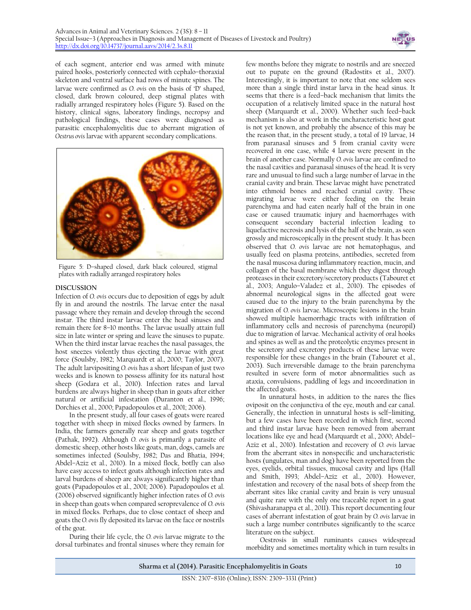

of each segment, anterior end was armed with minute paired hooks, posteriorly connected with cephalo–thoraxial skeleton and ventral surface had rows of minute spines. The larvae were confirmed as *O. ovis* on the basis of 'D' shaped, closed, dark brown coloured, deep stigmal plates with radially arranged respiratory holes (Figure 5). Based on the history, clinical signs, laboratory findings, necropsy and pathological findings, these cases were diagnosed as parasitic encephalomyelitis due to aberrant migration of *Oestrus ovis* larvae with apparent secondary complications.



Figure 5: D–shaped closed, dark black coloured, stigmal plates with radially arranged respiratory holes

# **DISCUSSION**

Infection of *O. ovis* occurs due to deposition of eggs by adult fly in and around the nostrils. The larvae enter the nasal passage where they remain and develop through the second instar. The third instar larvae enter the head sinuses and remain there for 8–10 months. The larvae usually attain full size in late winter or spring and leave the sinuses to pupate. When the third instar larvae reaches the nasal passages, the host sneezes violently thus ejecting the larvae with great force (Soulsby, 1982; Marquardt et al., 2000; Taylor, 2007). The adult larvipositing *O. ovis* has a short lifespan of just two weeks and is known to possess affinity for its natural host sheep (Godara et al., 2010). Infection rates and larval burdens are always higher in sheep than in goats after either natural or artificial infestation (Duranton et al., 1996; Dorchies et al., 2000; Papadopoulos et al., 2001; 2006).

In the present study, all four cases of goats were reared together with sheep in mixed flocks owned by farmers. In India, the farmers generally rear sheep and goats together (Pathak, 1992). Although *O. ovis* is primarily a parasite of domestic sheep, other hosts like goats, man, dogs, camels are sometimes infected (Soulsby, 1982; Das and Bhatia, 1994; Abdel–Aziz et al., 2010). In a mixed flock, botfly can also have easy access to infect goats although infection rates and larval burdens of sheep are always significantly higher than goats (Papadopoulos et al., 2001; 2006). Papadopoulos et al. (2006) observed significantly higher infection rates of *O. ovis* in sheep than goats when compared seroprevalence of *O. ovis* in mixed flocks. Perhaps, due to close contact of sheep and goats the *O. ovis* fly deposited its larvae on the face or nostrils of the goat.

During their life cycle, the *O. ovis* larvae migrate to the dorsal turbinates and frontal sinuses where they remain for

few months before they migrate to nostrils and are sneezed out to pupate on the ground (Radostits et al., 2007). Interestingly, it is important to note that one seldom sees more than a single third instar larva in the head sinus. It seems that there is a feed–back mechanism that limits the occupation of a relatively limited space in the natural host sheep (Marquardt et al., 2000). Whether such feed–back mechanism is also at work in the uncharacteristic host goat is not yet known, and probably the absence of this may be the reason that, in the present study, a total of 19 larvae, 14 from paranasal sinuses and 5 from cranial cavity were recovered in one case, while 4 larvae were present in the brain of another case. Normally *O. ovis* larvae are confined to the nasal cavities and paranasal sinuses of the head. It is very rare and unusual to find such a large number of larvae in the cranial cavity and brain. These larvae might have penetrated into ethmoid bones and reached cranial cavity. These migrating larvae were either feeding on the brain parenchyma and had eaten nearly half of the brain in one case or caused traumatic injury and haemorrhages with consequent secondary bacterial infection leading to liquefactive necrosis and lysis of the half of the brain, as seen grossly and microscopically in the present study. It has been observed that *O. ovis* larvae are not hematophagus, and usually feed on plasma proteins, antibodies, secreted from the nasal muscosa during inflammatory reaction, mucin, and collagen of the basal membrane which they digest through proteases in their excretory/secretory products (Tabouret et al., 2003; Angulo–Valadez et al., 2010). The episodes of abnormal neurological signs in the affected goat were caused due to the injury to the brain parenchyma by the migration of *O. ovis* larvae. Microscopic lesions in the brain showed multiple haemorrhagic tracts with infiltration of inflammatory cells and necrosis of parenchyma (neuropil) due to migration of larvae. Mechanical activity of oral hooks and spines as well as and the proteolytic enzymes present in the secretory and excretory products of these larvae were responsible for these changes in the brain (Tabouret et al., 2003). Such irreversible damage to the brain parenchyma resulted in severe form of motor abnormalities such as ataxia, convulsions, paddling of legs and incoordination in the affected goats.

In unnatural hosts, in addition to the nares the flies oviposit on the conjunctiva of the eye, mouth and ear canal. Generally, the infection in unnatural hosts is self–limiting, but a few cases have been recorded in which first, second and third instar larvae have been removed from aberrant locations like eye and head (Marquardt et al., 2000; Abdel– Aziz et al., 2010). Infestation and recovery of *O. ovis* larvae from the aberrant sites in nonspecific and uncharacteristic hosts (ungulates, man and dog) have been reported from the eyes, eyelids, orbital tissues, mucosal cavity and lips (Hall and Smith, 1993; Abdel–Aziz et al., 2010). However, infestation and recovery of the nasal bots of sheep from the aberrant sites like cranial cavity and brain is very unusual and quite rare with the only one traceable report in a goat (Shivasharanappa et al., 2011). This report documenting four cases of aberrant infestation of goat brain by *O. ovis* larvae in such a large number contributes significantly to the scarce literature on the subject.

Oestrosis in small ruminants causes widespread morbidity and sometimes mortality which in turn results in